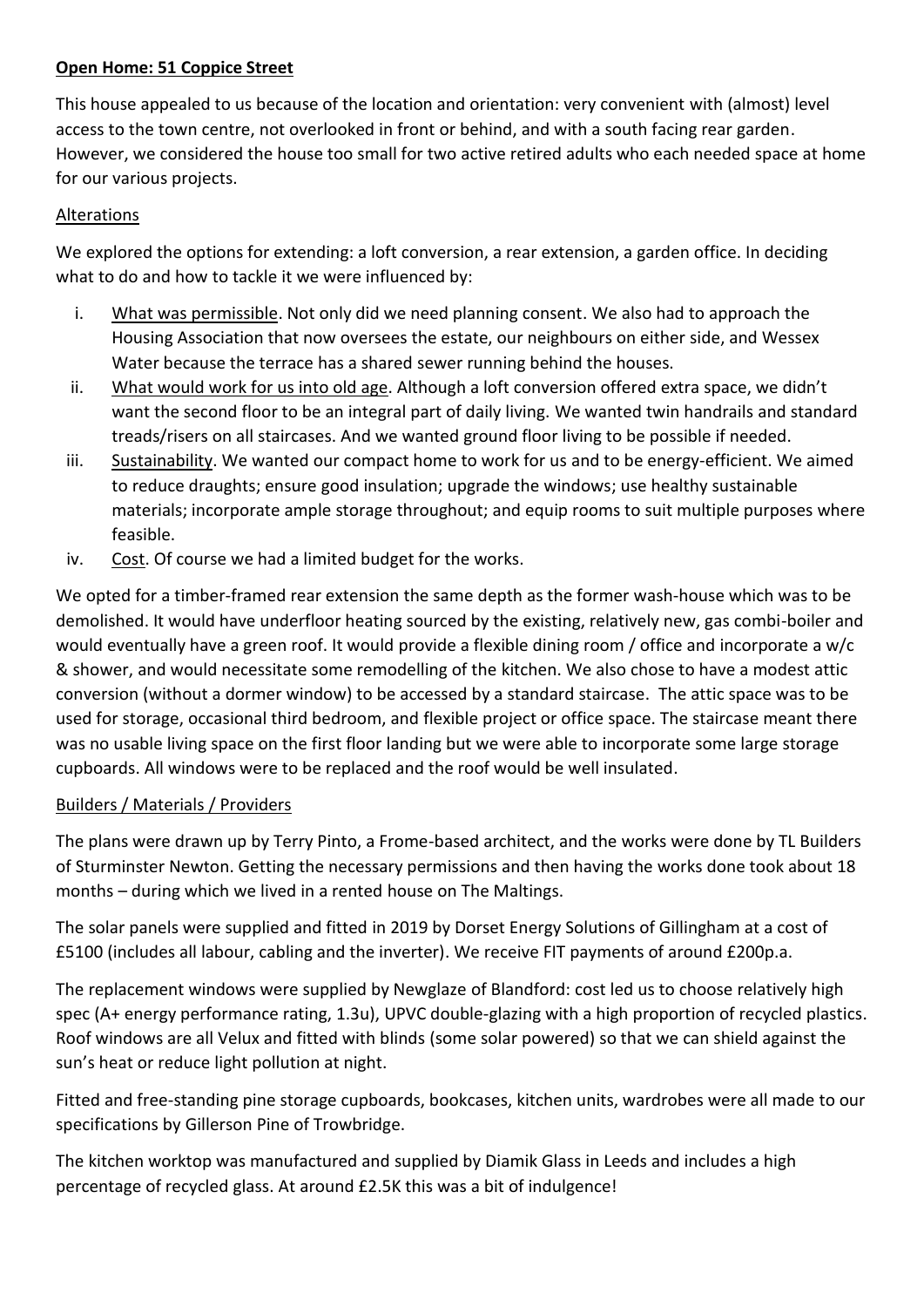## **Open Home: 51 Coppice Street**

This house appealed to us because of the location and orientation: very convenient with (almost) level access to the town centre, not overlooked in front or behind, and with a south facing rear garden. However, we considered the house too small for two active retired adults who each needed space at home for our various projects.

## Alterations

We explored the options for extending: a loft conversion, a rear extension, a garden office. In deciding what to do and how to tackle it we were influenced by:

- i. What was permissible. Not only did we need planning consent. We also had to approach the Housing Association that now oversees the estate, our neighbours on either side, and Wessex Water because the terrace has a shared sewer running behind the houses.
- ii. What would work for us into old age. Although a loft conversion offered extra space, we didn't want the second floor to be an integral part of daily living. We wanted twin handrails and standard treads/risers on all staircases. And we wanted ground floor living to be possible if needed.
- iii. Sustainability. We wanted our compact home to work for us and to be energy-efficient. We aimed to reduce draughts; ensure good insulation; upgrade the windows; use healthy sustainable materials; incorporate ample storage throughout; and equip rooms to suit multiple purposes where feasible.
- iv. Cost. Of course we had a limited budget for the works.

We opted for a timber-framed rear extension the same depth as the former wash-house which was to be demolished. It would have underfloor heating sourced by the existing, relatively new, gas combi-boiler and would eventually have a green roof. It would provide a flexible dining room / office and incorporate a w/c & shower, and would necessitate some remodelling of the kitchen. We also chose to have a modest attic conversion (without a dormer window) to be accessed by a standard staircase. The attic space was to be used for storage, occasional third bedroom, and flexible project or office space. The staircase meant there was no usable living space on the first floor landing but we were able to incorporate some large storage cupboards. All windows were to be replaced and the roof would be well insulated.

## Builders / Materials / Providers

The plans were drawn up by Terry Pinto, a Frome-based architect, and the works were done by TL Builders of Sturminster Newton. Getting the necessary permissions and then having the works done took about 18 months – during which we lived in a rented house on The Maltings.

The solar panels were supplied and fitted in 2019 by Dorset Energy Solutions of Gillingham at a cost of £5100 (includes all labour, cabling and the inverter). We receive FIT payments of around £200p.a.

The replacement windows were supplied by Newglaze of Blandford: cost led us to choose relatively high spec (A+ energy performance rating, 1.3u), UPVC double-glazing with a high proportion of recycled plastics. Roof windows are all Velux and fitted with blinds (some solar powered) so that we can shield against the sun's heat or reduce light pollution at night.

Fitted and free-standing pine storage cupboards, bookcases, kitchen units, wardrobes were all made to our specifications by Gillerson Pine of Trowbridge.

The kitchen worktop was manufactured and supplied by Diamik Glass in Leeds and includes a high percentage of recycled glass. At around £2.5K this was a bit of indulgence!